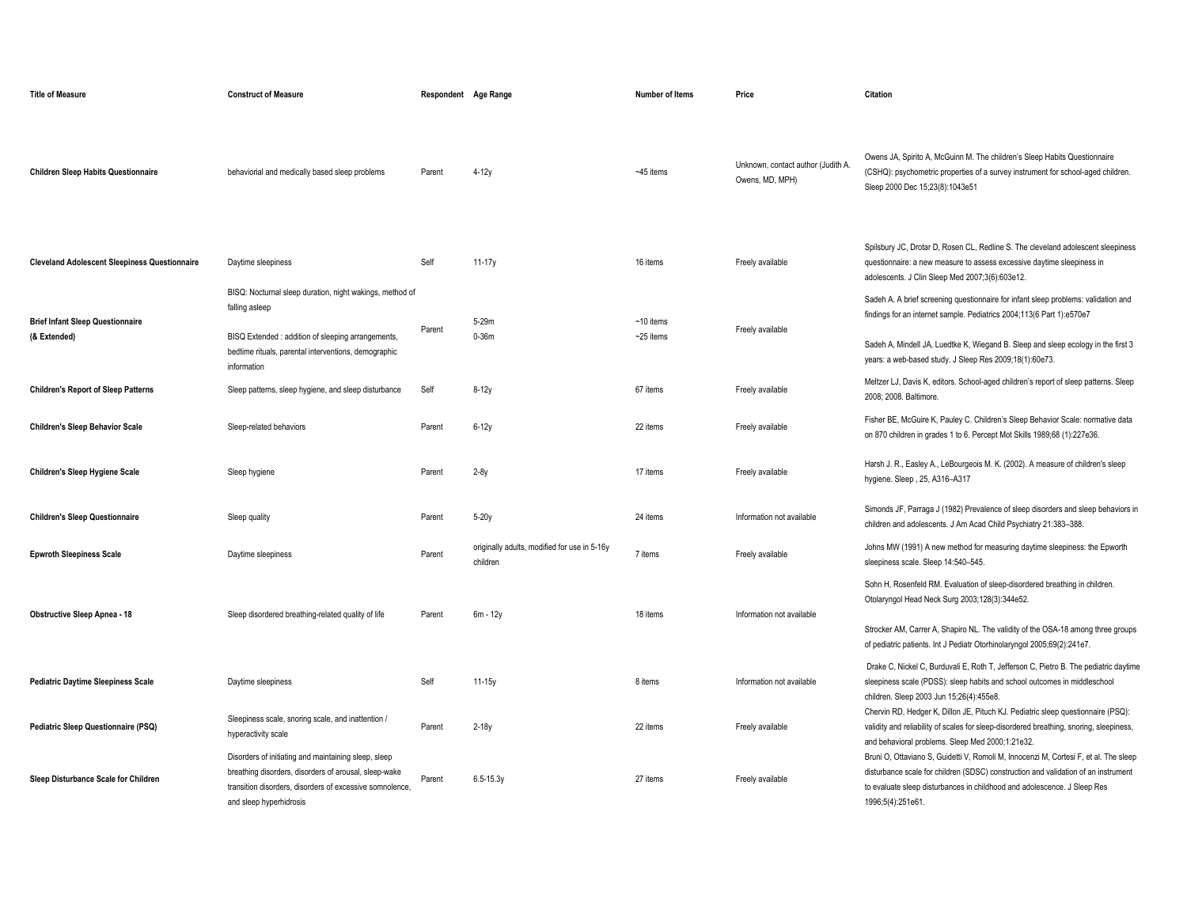| <b>Title of Measure</b>                                 | <b>Construct of Measure</b>                                                                                                                                                                          | Respondent Age Range |                                                          | <b>Number of Items</b>     | Price                                                 | Citation                                                                                                                                                                                                                                                                                                    |
|---------------------------------------------------------|------------------------------------------------------------------------------------------------------------------------------------------------------------------------------------------------------|----------------------|----------------------------------------------------------|----------------------------|-------------------------------------------------------|-------------------------------------------------------------------------------------------------------------------------------------------------------------------------------------------------------------------------------------------------------------------------------------------------------------|
| <b>Children Sleep Habits Questionnaire</b>              | behaviorial and medically based sleep problems                                                                                                                                                       | Parent               | $4-12y$                                                  | ~45 items                  | Unknown, contact author (Judith A.<br>Owens, MD, MPH) | Owens JA, Spirito A, McGuinn M. The children's Sleep Habits Questionnaire<br>(CSHQ): psychometric properties of a survey instrument for school-aged children.<br>Sleep 2000 Dec 15;23(8):1043e51                                                                                                            |
| <b>Cleveland Adolescent Sleepiness Questionnaire</b>    | Daytime sleepiness                                                                                                                                                                                   | Self                 | 11-17y                                                   | 16 items                   | Freely available                                      | Spilsbury JC, Drotar D, Rosen CL, Redline S. The cleveland adolescent sleepiness<br>questionnaire: a new measure to assess excessive daytime sleepiness in<br>adolescents. J Clin Sleep Med 2007;3(6):603e12.                                                                                               |
| <b>Brief Infant Sleep Questionnaire</b><br>(& Extended) | BISQ: Nocturnal sleep duration, night wakings, method of<br>falling asleep<br>BISQ Extended : addition of sleeping arrangements,<br>bedtime rituals, parental interventions, demographic             | Parent               | 5-29m<br>0-36m                                           | $~10$ items<br>$-25$ items | Freely available                                      | Sadeh A. A brief screening questionnaire for infant sleep problems: validation and<br>findings for an internet sample. Pediatrics 2004;113(6 Part 1):e570e7<br>Sadeh A, Mindell JA, Luedtke K, Wiegand B. Sleep and sleep ecology in the first 3<br>years: a web-based study. J Sleep Res 2009;18(1):60e73. |
| <b>Children's Report of Sleep Patterns</b>              | information<br>Sleep patterns, sleep hygiene, and sleep disturbance                                                                                                                                  | Self                 | $8-12y$                                                  | 67 items                   | Freely available                                      | Meltzer LJ, Davis K, editors. School-aged children's report of sleep patterns. Sleep<br>2008: 2008. Baltimore.                                                                                                                                                                                              |
| <b>Children's Sleep Behavior Scale</b>                  | Sleep-related behaviors                                                                                                                                                                              | Parent               | $6-12y$                                                  | 22 items                   | Freely available                                      | Fisher BE, McGuire K, Pauley C. Children's Sleep Behavior Scale: normative data<br>on 870 children in grades 1 to 6. Percept Mot Skills 1989;68 (1):227e36.                                                                                                                                                 |
| <b>Children's Sleep Hygiene Scale</b>                   | Sleep hygiene                                                                                                                                                                                        | Parent               | $2-8y$                                                   | 17 items                   | Freely available                                      | Harsh J. R., Easley A., LeBourgeois M. K. (2002). A measure of children's sleep<br>hygiene. Sleep, 25, A316-A317                                                                                                                                                                                            |
| <b>Children's Sleep Questionnaire</b>                   | Sleep quality                                                                                                                                                                                        | Parent               | $5-20y$                                                  | 24 items                   | Information not available                             | Simonds JF, Parraga J (1982) Prevalence of sleep disorders and sleep behaviors in<br>children and adolescents. J Am Acad Child Psychiatry 21:383-388.                                                                                                                                                       |
| <b>Epwroth Sleepiness Scale</b>                         | Daytime sleepiness                                                                                                                                                                                   | Parent               | originally adults, modified for use in 5-16y<br>children | 7 items                    | Freely available                                      | Johns MW (1991) A new method for measuring daytime sleepiness: the Epworth<br>sleepiness scale. Sleep 14:540-545.                                                                                                                                                                                           |
| <b>Obstructive Sleep Apnea - 18</b>                     | Sleep disordered breathing-related quality of life                                                                                                                                                   | Parent               | $6m - 12y$                                               | 18 items                   | Information not available                             | Sohn H, Rosenfeld RM. Evaluation of sleep-disordered breathing in children.<br>Otolaryngol Head Neck Surg 2003;128(3):344e52.<br>Strocker AM, Carrer A, Shapiro NL. The validity of the OSA-18 among three groups<br>of pediatric patients. Int J Pediatr Otorhinolaryngol 2005;69(2):241e7.                |
| <b>Pediatric Daytime Sleepiness Scale</b>               | Daytime sleepiness                                                                                                                                                                                   | Self                 | 11-15y                                                   | 8 items                    | Information not available                             | Drake C, Nickel C, Burduvali E, Roth T, Jefferson C, Pietro B. The pediatric daytime<br>sleepiness scale (PDSS): sleep habits and school outcomes in middleschool<br>children. Sleep 2003 Jun 15;26(4):455e8.                                                                                               |
| Pediatric Sleep Questionnaire (PSQ)                     | Sleepiness scale, snoring scale, and inattention /<br>hyperactivity scale                                                                                                                            | Parent               | $2-18y$                                                  | 22 items                   | Freely available                                      | Chervin RD, Hedger K, Dillon JE, Pituch KJ. Pediatric sleep questionnaire (PSQ):<br>validity and reliability of scales for sleep-disordered breathing, snoring, sleepiness,<br>and behavioral problems. Sleep Med 2000;1:21e32.                                                                             |
| Sleep Disturbance Scale for Children                    | Disorders of initiating and maintaining sleep, sleep<br>breathing disorders, disorders of arousal, sleep-wake<br>transition disorders, disorders of excessive somnolence,<br>and sleep hyperhidrosis | Parent               | $6.5 - 15.3y$                                            | 27 items                   | Freely available                                      | Bruni O, Ottaviano S, Guidetti V, Romoli M, Innocenzi M, Cortesi F, et al. The sleep<br>disturbance scale for children (SDSC) construction and validation of an instrument<br>to evaluate sleep disturbances in childhood and adolescence. J Sleep Res<br>1996;5(4):251e61.                                 |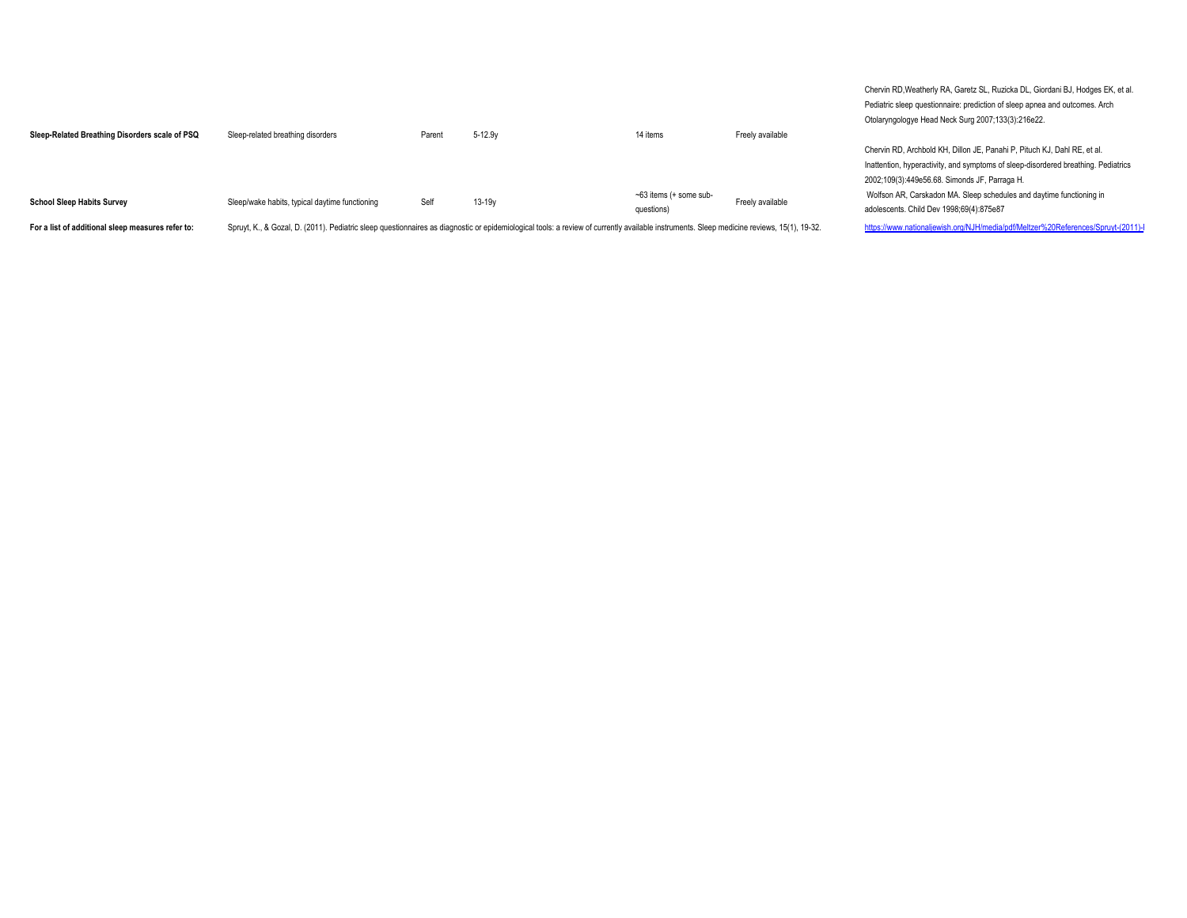| Sleep-Related Breathing Disorders scale of PSQ    | Sleep-related breathing disorders                                                                                                                                                         | Parent | $5 - 12.9y$ | 14 items                               | Freely available |
|---------------------------------------------------|-------------------------------------------------------------------------------------------------------------------------------------------------------------------------------------------|--------|-------------|----------------------------------------|------------------|
| <b>School Sleep Habits Survey</b>                 | Sleep/wake habits, typical daytime functioning                                                                                                                                            | Self   | $13 - 19y$  | $-63$ items (+ some sub-<br>questions) | Freely available |
| For a list of additional sleep measures refer to: | Spruyt, K., & Gozal, D. (2011). Pediatric sleep questionnaires as diagnostic or epidemiological tools: a review of currently available instruments. Sleep medicine reviews, 15(1), 19-32. |        |             |                                        |                  |

Chervin RD,Weatherly RA, Garetz SL, Ruzicka DL, Giordani BJ, Hodges EK, et al. Pediatric sleep questionnaire: prediction of sleep apnea and outcomes. Arch Otolaryngologye Head Neck Surg 2007;133(3):216e22.

Chervin RD, Archbold KH, Dillon JE, Panahi P, Pituch KJ, Dahl RE, et al. Inattention, hyperactivity, and symptoms of sleep-disordered breathing. Pediatrics 2002;109(3):449e56.68. Simonds JF, Parraga H. Wolfson AR, Carskadon MA. Sleep schedules and daytime functioning in adolescents. Child Dev 1998;69(4):875e87

https://www.nationaljewish.org/NJH/media/pdf/Meltzer%20References/Spruyt-(2011)-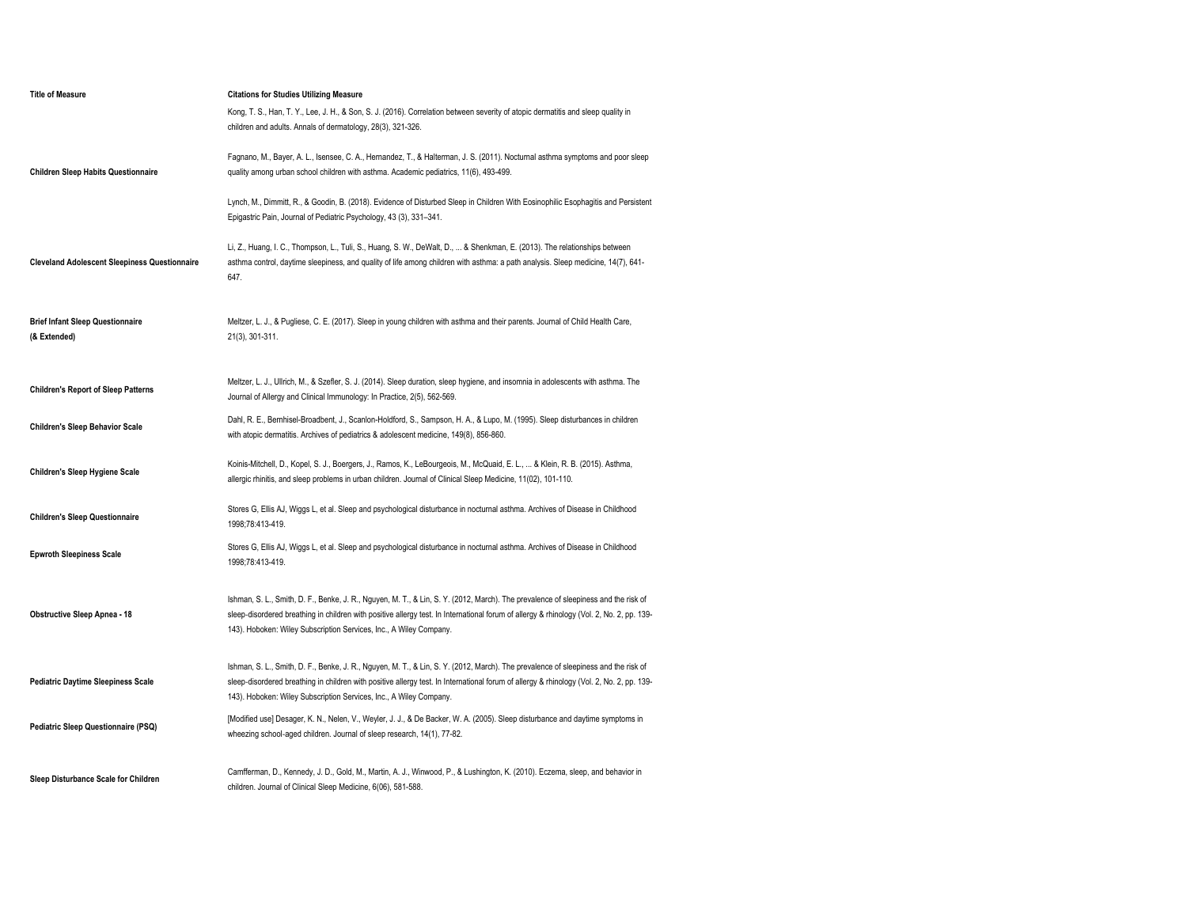| <b>Title of Measure</b>                                 | <b>Citations for Studies Utilizing Measure</b>                                                                                                                                                                                                                                                                                                        |
|---------------------------------------------------------|-------------------------------------------------------------------------------------------------------------------------------------------------------------------------------------------------------------------------------------------------------------------------------------------------------------------------------------------------------|
|                                                         | Kong, T. S., Han, T. Y., Lee, J. H., & Son, S. J. (2016). Correlation between severity of atopic dermatitis and sleep quality in<br>children and adults. Annals of dermatology, 28(3), 321-326.                                                                                                                                                       |
| <b>Children Sleep Habits Questionnaire</b>              | Fagnano, M., Bayer, A. L., Isensee, C. A., Hernandez, T., & Halterman, J. S. (2011). Nocturnal asthma symptoms and poor sleep<br>quality among urban school children with asthma. Academic pediatrics, 11(6), 493-499.                                                                                                                                |
|                                                         | Lynch, M., Dimmitt, R., & Goodin, B. (2018). Evidence of Disturbed Sleep in Children With Eosinophilic Esophagitis and Persistent<br>Epigastric Pain, Journal of Pediatric Psychology, 43 (3), 331-341.                                                                                                                                               |
| <b>Cleveland Adolescent Sleepiness Questionnaire</b>    | Li, Z., Huang, I. C., Thompson, L., Tuli, S., Huang, S. W., DeWalt, D.,  & Shenkman, E. (2013). The relationships between<br>asthma control, daytime sleepiness, and quality of life among children with asthma: a path analysis. Sleep medicine, 14(7), 641-<br>647.                                                                                 |
| <b>Brief Infant Sleep Questionnaire</b><br>(& Extended) | Meltzer, L. J., & Pugliese, C. E. (2017). Sleep in young children with asthma and their parents. Journal of Child Health Care,<br>21(3), 301-311.                                                                                                                                                                                                     |
| <b>Children's Report of Sleep Patterns</b>              | Meltzer, L. J., Ullrich, M., & Szefler, S. J. (2014). Sleep duration, sleep hygiene, and insomnia in adolescents with asthma. The<br>Journal of Allergy and Clinical Immunology: In Practice, 2(5), 562-569.                                                                                                                                          |
| <b>Children's Sleep Behavior Scale</b>                  | Dahl, R. E., Bernhisel-Broadbent, J., Scanlon-Holdford, S., Sampson, H. A., & Lupo, M. (1995). Sleep disturbances in children<br>with atopic dermatitis. Archives of pediatrics & adolescent medicine, 149(8), 856-860.                                                                                                                               |
| <b>Children's Sleep Hygiene Scale</b>                   | Koinis-Mitchell, D., Kopel, S. J., Boergers, J., Ramos, K., LeBourgeois, M., McQuaid, E. L.,  & Klein, R. B. (2015). Asthma,<br>allergic rhinitis, and sleep problems in urban children. Journal of Clinical Sleep Medicine, 11(02), 101-110.                                                                                                         |
| <b>Children's Sleep Questionnaire</b>                   | Stores G, Ellis AJ, Wiggs L, et al. Sleep and psychological disturbance in nocturnal asthma. Archives of Disease in Childhood<br>1998:78:413-419.                                                                                                                                                                                                     |
| <b>Epwroth Sleepiness Scale</b>                         | Stores G, Ellis AJ, Wiggs L, et al. Sleep and psychological disturbance in nocturnal asthma. Archives of Disease in Childhood<br>1998;78:413-419.                                                                                                                                                                                                     |
| <b>Obstructive Sleep Apnea - 18</b>                     | Ishman, S. L., Smith, D. F., Benke, J. R., Nguyen, M. T., & Lin, S. Y. (2012, March). The prevalence of sleepiness and the risk of<br>sleep-disordered breathing in children with positive allergy test. In International forum of allergy & rhinology (Vol. 2, No. 2, pp. 139-<br>143). Hoboken: Wiley Subscription Services, Inc., A Wiley Company. |
| <b>Pediatric Daytime Sleepiness Scale</b>               | Ishman, S. L., Smith, D. F., Benke, J. R., Nguyen, M. T., & Lin, S. Y. (2012, March). The prevalence of sleepiness and the risk of<br>sleep-disordered breathing in children with positive allergy test. In International forum of allergy & rhinology (Vol. 2, No. 2, pp. 139-<br>143). Hoboken: Wiley Subscription Services, Inc., A Wiley Company. |
| Pediatric Sleep Questionnaire (PSQ)                     | [Modified use] Desager, K. N., Nelen, V., Weyler, J. J., & De Backer, W. A. (2005). Sleep disturbance and daytime symptoms in<br>wheezing school-aged children. Journal of sleep research, 14(1), 77-82.                                                                                                                                              |
| Sleep Disturbance Scale for Children                    | Camfferman, D., Kennedy, J. D., Gold, M., Martin, A. J., Winwood, P., & Lushington, K. (2010). Eczema, sleep, and behavior in<br>children. Journal of Clinical Sleep Medicine, 6(06), 581-588.                                                                                                                                                        |